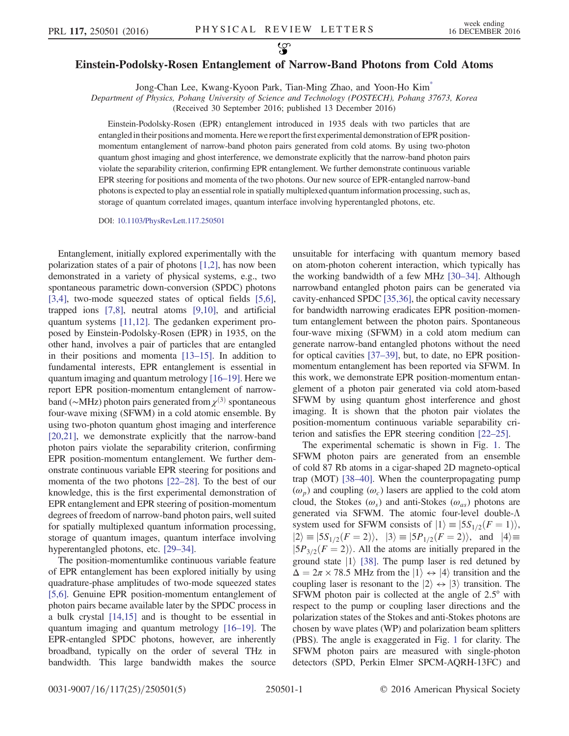## <span id="page-0-0"></span>Einstein-Podolsky-Rosen Entanglement of Narrow-Band Photons from Cold Atoms

Jong-Chan Lee, Kwang-Kyoon Park, Tian-Ming Zhao, and Yoon-Ho Ki[m\\*](#page-4-0)

Department of Physics, Pohang University of Science and Technology (POSTECH), Pohang 37673, Korea

(Received 30 September 2016; published 13 December 2016)

Einstein-Podolsky-Rosen (EPR) entanglement introduced in 1935 deals with two particles that are entangledin their positions and momenta. Here we reportthe first experimental demonstration of EPR positionmomentum entanglement of narrow-band photon pairs generated from cold atoms. By using two-photon quantum ghost imaging and ghost interference, we demonstrate explicitly that the narrow-band photon pairs violate the separability criterion, confirming EPR entanglement. We further demonstrate continuous variable EPR steering for positions and momenta of the two photons. Our new source of EPR-entangled narrow-band photons is expected to play an essential role in spatially multiplexed quantum information processing, such as, storage of quantum correlated images, quantum interface involving hyperentangled photons, etc.

DOI: [10.1103/PhysRevLett.117.250501](http://dx.doi.org/10.1103/PhysRevLett.117.250501)

Entanglement, initially explored experimentally with the polarization states of a pair of photons [\[1,2\]](#page-4-1), has now been demonstrated in a variety of physical systems, e.g., two spontaneous parametric down-conversion (SPDC) photons [\[3,4\],](#page-4-2) two-mode squeezed states of optical fields [\[5,6\]](#page-4-3), trapped ions [\[7,8\],](#page-4-4) neutral atoms [\[9,10\]](#page-4-5), and artificial quantum systems [\[11,12\]](#page-4-6). The gedanken experiment proposed by Einstein-Podolsky-Rosen (EPR) in 1935, on the other hand, involves a pair of particles that are entangled in their positions and momenta [13–[15\]](#page-4-7). In addition to fundamental interests, EPR entanglement is essential in quantum imaging and quantum metrology [\[16](#page-4-8)–19]. Here we report EPR position-momentum entanglement of narrowband (∼MHz) photon pairs generated from  $\chi^{(3)}$  spontaneous four-wave mixing (SFWM) in a cold atomic ensemble. By using two-photon quantum ghost imaging and interference [\[20,21\]](#page-4-9), we demonstrate explicitly that the narrow-band photon pairs violate the separability criterion, confirming EPR position-momentum entanglement. We further demonstrate continuous variable EPR steering for positions and momenta of the two photons [\[22](#page-4-10)–28]. To the best of our knowledge, this is the first experimental demonstration of EPR entanglement and EPR steering of position-momentum degrees of freedom of narrow-band photon pairs, well suited for spatially multiplexed quantum information processing, storage of quantum images, quantum interface involving hyperentangled photons, etc. [29–[34\].](#page-4-11)

The position-momentumlike continuous variable feature of EPR entanglement has been explored initially by using quadrature-phase amplitudes of two-mode squeezed states [\[5,6\].](#page-4-3) Genuine EPR position-momentum entanglement of photon pairs became available later by the SPDC process in a bulk crystal [\[14,15\]](#page-4-12) and is thought to be essential in quantum imaging and quantum metrology [\[16](#page-4-8)–19]. The EPR-entangled SPDC photons, however, are inherently broadband, typically on the order of several THz in bandwidth. This large bandwidth makes the source unsuitable for interfacing with quantum memory based on atom-photon coherent interaction, which typically has the working bandwidth of a few MHz [30–[34\].](#page-4-13) Although narrowband entangled photon pairs can be generated via cavity-enhanced SPDC [\[35,36\],](#page-4-14) the optical cavity necessary for bandwidth narrowing eradicates EPR position-momentum entanglement between the photon pairs. Spontaneous four-wave mixing (SFWM) in a cold atom medium can generate narrow-band entangled photons without the need for optical cavities [\[37](#page-4-15)–39], but, to date, no EPR positionmomentum entanglement has been reported via SFWM. In this work, we demonstrate EPR position-momentum entanglement of a photon pair generated via cold atom-based SFWM by using quantum ghost interference and ghost imaging. It is shown that the photon pair violates the position-momentum continuous variable separability criterion and satisfies the EPR steering condition [22–[25\]](#page-4-10).

The experimental schematic is shown in Fig. [1](#page-1-0). The SFWM photon pairs are generated from an ensemble of cold 87 Rb atoms in a cigar-shaped 2D magneto-optical trap (MOT) [38–[40\].](#page-4-16) When the counterpropagating pump  $(\omega_p)$  and coupling  $(\omega_c)$  lasers are applied to the cold atom cloud, the Stokes ( $\omega$ <sub>s</sub>) and anti-Stokes ( $\omega$ <sub>as</sub>) photons are generated via SFWM. The atomic four-level double-Λ system used for SFWM consists of  $|1\rangle = |5S_{1/2}(F = 1)\rangle$ ,  $|2\rangle \equiv |5S_{1/2}(F = 2)\rangle$ ,  $|3\rangle \equiv |5P_{1/2}(F = 2)\rangle$ , and  $|4\rangle \equiv$  $|5P_{3/2}(F = 2)\rangle$ . All the atoms are initially prepared in the ground state  $|1\rangle$  [\[38\]](#page-4-16). The pump laser is red detuned by  $\Delta = 2\pi \times 78.5$  MHz from the  $|1\rangle \leftrightarrow |4\rangle$  transition and the coupling laser is resonant to the  $|2\rangle \leftrightarrow |3\rangle$  transition. The SFWM photon pair is collected at the angle of 2.5° with respect to the pump or coupling laser directions and the polarization states of the Stokes and anti-Stokes photons are chosen by wave plates (WP) and polarization beam splitters (PBS). The angle is exaggerated in Fig. [1](#page-1-0) for clarity. The SFWM photon pairs are measured with single-photon detectors (SPD, Perkin Elmer SPCM-AQRH-13FC) and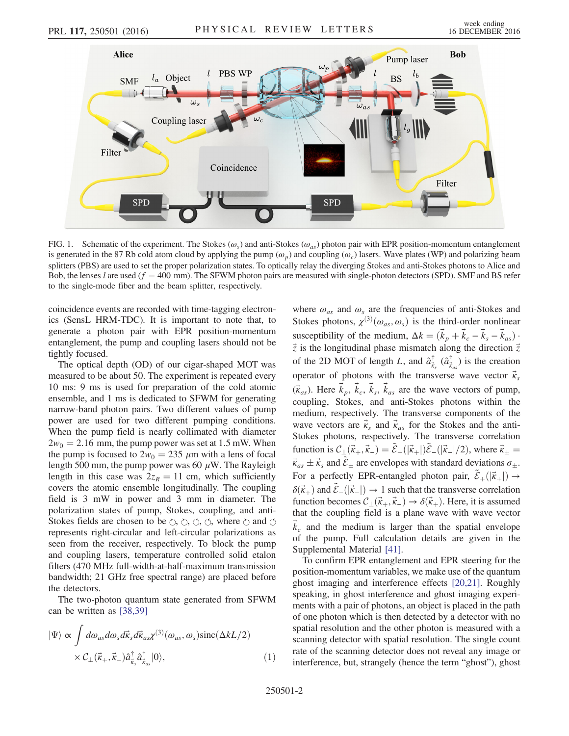<span id="page-1-0"></span>

FIG. 1. Schematic of the experiment. The Stokes ( $\omega_s$ ) and anti-Stokes ( $\omega_{as}$ ) photon pair with EPR position-momentum entanglement is generated in the 87 Rb cold atom cloud by applying the pump  $(\omega_p)$  and coupling  $(\omega_c)$  lasers. Wave plates (WP) and polarizing beam splitters (PBS) are used to set the proper polarization states. To optically relay the diverging Stokes and anti-Stokes photons to Alice and Bob, the lenses l are used  $(f = 400 \text{ mm})$ . The SFWM photon pairs are measured with single-photon detectors (SPD). SMF and BS refer to the single-mode fiber and the beam splitter, respectively.

coincidence events are recorded with time-tagging electronics (SensL HRM-TDC). It is important to note that, to generate a photon pair with EPR position-momentum entanglement, the pump and coupling lasers should not be tightly focused.

The optical depth (OD) of our cigar-shaped MOT was measured to be about 50. The experiment is repeated every 10 ms: 9 ms is used for preparation of the cold atomic ensemble, and 1 ms is dedicated to SFWM for generating narrow-band photon pairs. Two different values of pump power are used for two different pumping conditions. When the pump field is nearly collimated with diameter  $2w_0 = 2.16$  mm, the pump power was set at 1.5 mW. When the pump is focused to  $2w_0 = 235 \mu m$  with a lens of focal length 500 mm, the pump power was 60  $\mu$ W. The Rayleigh length in this case was  $2z_R = 11$  cm, which sufficiently covers the atomic ensemble longitudinally. The coupling field is 3 mW in power and 3 mm in diameter. The polarization states of pump, Stokes, coupling, and anti-Stokes fields are chosen to be  $\circlearrowright$ ,  $\circlearrowright$ ,  $\circlearrowleft$ ,  $\circlearrowleft$ , where  $\circlearrowright$  and  $\circlearrowleft$ represents right-circular and left-circular polarizations as seen from the receiver, respectively. To block the pump and coupling lasers, temperature controlled solid etalon filters (470 MHz full-width-at-half-maximum transmission bandwidth; 21 GHz free spectral range) are placed before the detectors.

<span id="page-1-1"></span>The two-photon quantum state generated from SFWM can be written as [\[38,39\]](#page-4-16)

$$
|\Psi\rangle \propto \int d\omega_{as} d\omega_{s} d\vec{k}_{s} d\vec{k}_{as} \chi^{(3)}(\omega_{as}, \omega_{s}) \text{sinc}(\Delta k L/2)
$$
  
 
$$
\times \mathcal{C}_{\perp}(\vec{k}_{+}, \vec{k}_{-}) \hat{a}^{\dagger}_{\vec{k}_{s}} \hat{a}^{\dagger}_{\vec{k}_{as}} |0\rangle, \qquad (1)
$$

where  $\omega_{as}$  and  $\omega_s$  are the frequencies of anti-Stokes and Stokes photons,  $\chi^{(3)}(\omega_{as}, \omega_s)$  is the third-order nonlinear susceptibility of the medium,  $\Delta k = (\vec{k}_p + \vec{k}_c - \vec{k}_s - \vec{k}_{as})$ .  $\vec{z}$  is the longitudinal phase mismatch along the direction  $\vec{z}$ of the 2D MOT of length L, and  $\hat{a}^{\dagger}_{\vec{k}}$  $\vec{k}_{s}$   $(\hat{a}^{\dagger}_{\vec{k}})$  $(\vec{k}_{as})$  is the creation operator of photons with the transverse wave vector  $\vec{\kappa}_{s}$  $(\vec{k}_{as})$ . Here  $\vec{k}_p$ ,  $\vec{k}_c$ ,  $\vec{k}_s$ ,  $\vec{k}_{as}$  are the wave vectors of pump, coupling, Stokes, and anti-Stokes photons within the medium, respectively. The transverse components of the wave vectors are  $\vec{k}_s$  and  $\vec{k}_{as}$  for the Stokes and the anti-Stokes photons, respectively. The transverse correlation function is  $C_{\perp}(\vec{k}_+,\vec{k}_-) = \tilde{\mathcal{E}}_+(\vert \vec{k}_+ \vert) \tilde{\mathcal{E}}_-(\vert \vec{k}_- \vert /2)$ , where  $\vec{k}_\pm =$  $\vec{k}_{as} \pm \vec{k}_s$  and  $\tilde{\mathcal{E}}_{\pm}$  are envelopes with standard deviations  $\sigma_{\pm}$ . For a perfectly EPR-entangled photon pair,  $\tilde{\mathcal{E}}_+ (|\vec{k}_+|) \rightarrow$  $\delta(\vec{k}_+)$  and  $\tilde{\mathcal{E}}_{-}(|\vec{k}_-|) \rightarrow 1$  such that the transverse correlation function becomes  $C_{\perp}(\vec{k}_+,\vec{k}_-) \to \delta(\vec{k}_+).$  Here, it is assumed that the coupling field is a plane wave with wave vector  $\vec{k}_c$  and the medium is larger than the spatial envelope of the pump. Full calculation details are given in the Supplemental Material [\[41\].](#page-4-17)

To confirm EPR entanglement and EPR steering for the position-momentum variables, we make use of the quantum ghost imaging and interference effects [\[20,21\].](#page-4-9) Roughly speaking, in ghost interference and ghost imaging experiments with a pair of photons, an object is placed in the path of one photon which is then detected by a detector with no spatial resolution and the other photon is measured with a scanning detector with spatial resolution. The single count rate of the scanning detector does not reveal any image or interference, but, strangely (hence the term "ghost"), ghost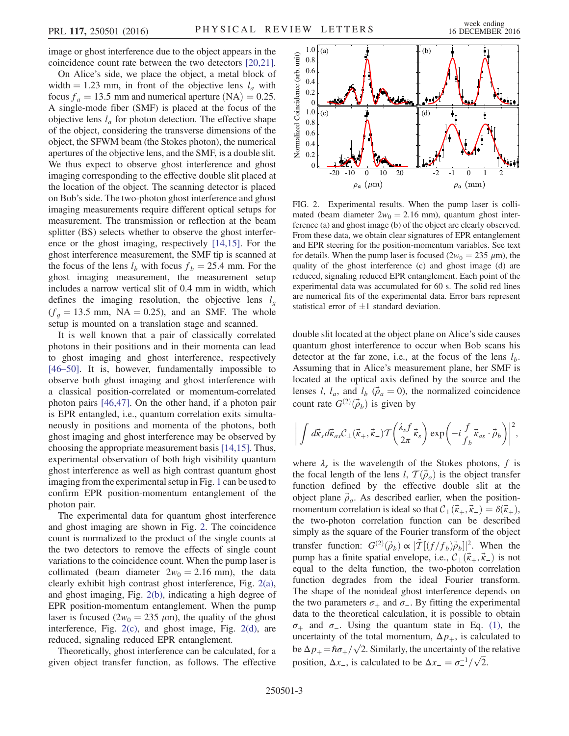image or ghost interference due to the object appears in the coincidence count rate between the two detectors [\[20,21\]](#page-4-9).

On Alice's side, we place the object, a metal block of width = 1.23 mm, in front of the objective lens  $l_a$  with focus  $f_a = 13.5$  mm and numerical aperture (NA) = 0.25. A single-mode fiber (SMF) is placed at the focus of the objective lens  $l_a$  for photon detection. The effective shape of the object, considering the transverse dimensions of the object, the SFWM beam (the Stokes photon), the numerical apertures of the objective lens, and the SMF, is a double slit. We thus expect to observe ghost interference and ghost imaging corresponding to the effective double slit placed at the location of the object. The scanning detector is placed on Bob's side. The two-photon ghost interference and ghost imaging measurements require different optical setups for measurement. The transmission or reflection at the beam splitter (BS) selects whether to observe the ghost interference or the ghost imaging, respectively [\[14,15\]](#page-4-12). For the ghost interference measurement, the SMF tip is scanned at the focus of the lens  $l_b$  with focus  $f_b = 25.4$  mm. For the ghost imaging measurement, the measurement setup includes a narrow vertical slit of 0.4 mm in width, which defines the imaging resolution, the objective lens  $l<sub>q</sub>$  $(f<sub>q</sub> = 13.5$  mm, NA = 0.25), and an SMF. The whole setup is mounted on a translation stage and scanned.

It is well known that a pair of classically correlated photons in their positions and in their momenta can lead to ghost imaging and ghost interference, respectively [\[46](#page-4-18)–50]. It is, however, fundamentally impossible to observe both ghost imaging and ghost interference with a classical position-correlated or momentum-correlated photon pairs [\[46,47\]](#page-4-18). On the other hand, if a photon pair is EPR entangled, i.e., quantum correlation exits simultaneously in positions and momenta of the photons, both ghost imaging and ghost interference may be observed by choosing the appropriate measurement basis [\[14,15\].](#page-4-12) Thus, experimental observation of both high visibility quantum ghost interference as well as high contrast quantum ghost imaging from the experimental setup in Fig. [1](#page-1-0) can be used to confirm EPR position-momentum entanglement of the photon pair.

The experimental data for quantum ghost interference and ghost imaging are shown in Fig. [2.](#page-2-0) The coincidence count is normalized to the product of the single counts at the two detectors to remove the effects of single count variations to the coincidence count. When the pump laser is collimated (beam diameter  $2w_0 = 2.16$  mm), the data clearly exhibit high contrast ghost interference, Fig. [2\(a\)](#page-2-0), and ghost imaging, Fig. [2\(b\)](#page-2-0), indicating a high degree of EPR position-momentum entanglement. When the pump laser is focused ( $2w_0 = 235 \mu m$ ), the quality of the ghost interference, Fig. [2\(c\),](#page-2-0) and ghost image, Fig. [2\(d\)](#page-2-0), are reduced, signaling reduced EPR entanglement.

Theoretically, ghost interference can be calculated, for a given object transfer function, as follows. The effective

<span id="page-2-0"></span>

FIG. 2. Experimental results. When the pump laser is collimated (beam diameter  $2w_0 = 2.16$  mm), quantum ghost interference (a) and ghost image (b) of the object are clearly observed. From these data, we obtain clear signatures of EPR entanglement and EPR steering for the position-momentum variables. See text for details. When the pump laser is focused ( $2w_0 = 235 \mu m$ ), the quality of the ghost interference (c) and ghost image (d) are reduced, signaling reduced EPR entanglement. Each point of the experimental data was accumulated for 60 s. The solid red lines are numerical fits of the experimental data. Error bars represent statistical error of  $\pm 1$  standard deviation.

double slit located at the object plane on Alice's side causes quantum ghost interference to occur when Bob scans his detector at the far zone, i.e., at the focus of the lens  $l<sub>b</sub>$ . Assuming that in Alice's measurement plane, her SMF is located at the optical axis defined by the source and the lenses *l*,  $l_a$ , and  $l_b$  ( $\vec{\rho}_a = 0$ ), the normalized coincidence count rate  $G^{(2)}(\vec{\rho}_b)$  is given by

$$
\bigg|\int d\vec{k}_s d\vec{k}_{as} \mathcal{C}_{\perp}(\vec{k}_+,\vec{k}_-) \mathcal{T}\bigg(\frac{\lambda_s f}{2\pi}\vec{k}_s\bigg) \exp\bigg(-i\frac{f}{f_b}\vec{k}_{as}\cdot\vec{\rho}_b\bigg)\bigg|^2,
$$

where  $\lambda_s$  is the wavelength of the Stokes photons, f is the focal length of the lens l,  $\mathcal{T}(\vec{\rho}_o)$  is the object transfer function defined by the effective double slit at the object plane  $\vec{\rho}_o$ . As described earlier, when the positionmomentum correlation is ideal so that  $\mathcal{C}_\perp(\vec{k}_+,\vec{k}_-) = \delta(\vec{k}_+),$ the two-photon correlation function can be described simply as the square of the Fourier transform of the object transfer function:  $G^{(2)}(\vec{\rho}_b) \propto |\tilde{T}[(f/f_b)\vec{\rho}_b]|^2$ . When the pump has a finite spatial envelope, i.e.,  $C_{\perp}(\vec{k}_+,\vec{k}_-)$  is not equal to the delta function, the two-photon correlation function degrades from the ideal Fourier transform. The shape of the nonideal ghost interference depends on the two parameters  $\sigma_+$  and  $\sigma_-$ . By fitting the experimental data to the theoretical calculation, it is possible to obtain  $\sigma_+$  and  $\sigma_-$ . Using the quantum state in Eq. [\(1\),](#page-1-1) the uncertainty of the total momentum,  $\Delta p_{+}$ , is calculated to be  $\Delta p_+ = \hbar \sigma_+ / \sqrt{2}$ . Similarly, the uncertainty of the relative position,  $\Delta x_$ , is calculated to be  $\Delta x_ = \frac{\sigma_-^{-1}}{\sqrt{2}}$ .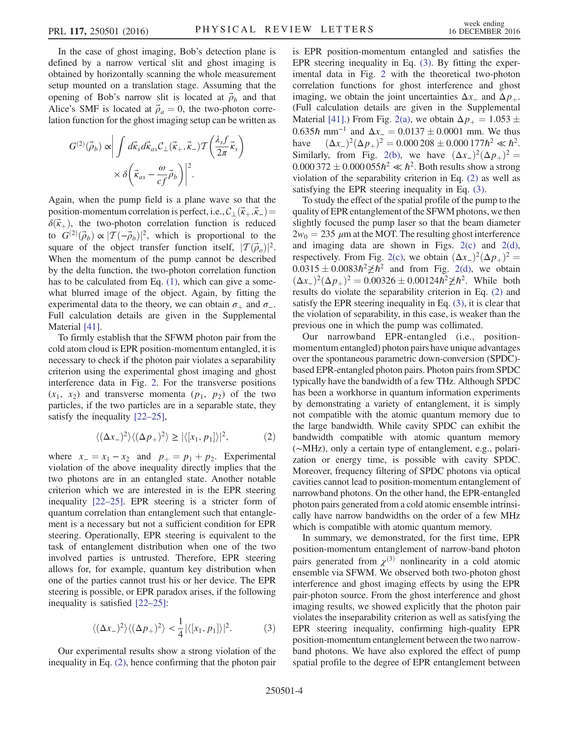In the case of ghost imaging, Bob's detection plane is defined by a narrow vertical slit and ghost imaging is obtained by horizontally scanning the whole measurement setup mounted on a translation stage. Assuming that the opening of Bob's narrow slit is located at  $\vec{\rho}_b$  and that Alice's SMF is located at  $\vec{\rho}_a = 0$ , the two-photon correlation function for the ghost imaging setup can be written as

$$
G^{(2)}(\vec{\rho}_b) \propto \left| \int d\vec{k}_s d\vec{k}_{as} C_{\perp}(\vec{k}_+,\vec{k}_-) T\left(\frac{\lambda_s f}{2\pi} \vec{k}_s\right) \right|
$$

$$
\times \delta \left( \vec{k}_{as} - \frac{\omega}{cf} \vec{\rho}_b \right) \Big|^2.
$$

Again, when the pump field is a plane wave so that the position-momentum correlation is perfect, i.e.,  $C_1(\vec{k}_+,\vec{k}_-)$  =  $\delta(\vec{k}_+)$ , the two-photon correlation function is reduced to  $G^{(2)}(\vec{\rho}_b) \propto |T(-\vec{\rho}_b)|^2$ , which is proportional to the square of the object transfer function itself,  $|\mathcal{T}(\vec{\rho}_o)|^2$ . When the momentum of the pump cannot be described by the delta function, the two-photon correlation function has to be calculated from Eq. [\(1\)](#page-1-1), which can give a somewhat blurred image of the object. Again, by fitting the experimental data to the theory, we can obtain  $\sigma_+$  and  $\sigma_-$ . Full calculation details are given in the Supplemental Material [\[41\]](#page-4-17).

To firmly establish that the SFWM photon pair from the cold atom cloud is EPR position-momentum entangled, it is necessary to check if the photon pair violates a separability criterion using the experimental ghost imaging and ghost interference data in Fig. [2](#page-2-0). For the transverse positions  $(x_1, x_2)$  and transverse momenta  $(p_1, p_2)$  of the two particles, if the two particles are in a separable state, they satisfy the inequality [\[22](#page-4-10)–25],

$$
\langle (\Delta x_-)^2 \rangle \langle (\Delta p_+)^2 \rangle \ge |\langle [x_1, p_1] \rangle|^2,\tag{2}
$$

<span id="page-3-0"></span>where  $x_ - = x_1 - x_2$  and  $p_ + = p_1 + p_2$ . Experimental violation of the above inequality directly implies that the two photons are in an entangled state. Another notable criterion which we are interested in is the EPR steering inequality [\[22](#page-4-10)–25]. EPR steering is a stricter form of quantum correlation than entanglement such that entanglement is a necessary but not a sufficient condition for EPR steering. Operationally, EPR steering is equivalent to the task of entanglement distribution when one of the two involved parties is untrusted. Therefore, EPR steering allows for, for example, quantum key distribution when one of the parties cannot trust his or her device. The EPR steering is possible, or EPR paradox arises, if the following inequality is satisfied [22–[25\]:](#page-4-10)

<span id="page-3-1"></span>
$$
\langle (\Delta x_-)^2 \rangle \langle (\Delta p_+)^2 \rangle < \frac{1}{4} |\langle [x_1, p_1] \rangle|^2. \tag{3}
$$

Our experimental results show a strong violation of the inequality in Eq. [\(2\)](#page-3-0), hence confirming that the photon pair is EPR position-momentum entangled and satisfies the EPR steering inequality in Eq. [\(3\)](#page-3-1). By fitting the experimental data in Fig. [2](#page-2-0) with the theoretical two-photon correlation functions for ghost interference and ghost imaging, we obtain the joint uncertainties  $\Delta x$  and  $\Delta p$ <sub>+</sub>. (Full calculation details are given in the Supplemental Material [\[41\]](#page-4-17).) From Fig. [2\(a\),](#page-2-0) we obtain  $\Delta p_{+} = 1.053 \pm 0.053$  $0.635\hbar$  mm<sup>-1</sup> and  $\Delta x$ <sub>-</sub> =  $0.0137 \pm 0.0001$  mm. We thus have  $(\Delta x_-)^2 (\Delta p_+)^2 = 0.000208 \pm 0.000177 \hbar^2 \ll \hbar^2$ . Similarly, from Fig. [2\(b\),](#page-2-0) we have  $(\Delta x_{-})^2(\Delta p_{+})^2 =$  $0.000372 \pm 0.000055 \hbar^2 \ll \hbar^2$ . Both results show a strong violation of the separability criterion in Eq. [\(2\)](#page-3-0) as well as satisfying the EPR steering inequality in Eq. [\(3\)](#page-3-1).

To study the effect of the spatial profile of the pump to the quality of EPR entanglement of the SFWM photons, we then slightly focused the pump laser so that the beam diameter  $2w_0 = 235 \mu m$  at the MOT. The resulting ghost interference and imaging data are shown in Figs. [2\(c\)](#page-2-0) and [2\(d\)](#page-2-0), respectively. From Fig. [2\(c\),](#page-2-0) we obtain  $(\Delta x_{-})^2(\Delta p_{+})^2$  =  $0.0315 \pm 0.0083 \hbar^2 \not\geq \hbar^2$  and from Fig. [2\(d\)](#page-2-0), we obtain  $(\Delta x_-)^2(\Delta p_+)^2 = 0.00326 \pm 0.00124\hbar^2 \nless \hbar^2$ . While both results do violate the separability criterion in Eq. [\(2\)](#page-3-0) and satisfy the EPR steering inequality in Eq. [\(3\),](#page-3-1) it is clear that the violation of separability, in this case, is weaker than the previous one in which the pump was collimated.

Our narrowband EPR-entangled (i.e., positionmomentum entangled) photon pairs have unique advantages over the spontaneous parametric down-conversion (SPDC) based EPR-entangled photon pairs. Photon pairs from SPDC typically have the bandwidth of a few THz. Although SPDC has been a workhorse in quantum information experiments by demonstrating a variety of entanglement, it is simply not compatible with the atomic quantum memory due to the large bandwidth. While cavity SPDC can exhibit the bandwidth compatible with atomic quantum memory (∼MHz), only a certain type of entanglement, e.g., polarization or energy time, is possible with cavity SPDC. Moreover, frequency filtering of SPDC photons via optical cavities cannot lead to position-momentum entanglement of narrowband photons. On the other hand, the EPR-entangled photon pairs generated from a cold atomic ensemble intrinsically have narrow bandwidths on the order of a few MHz which is compatible with atomic quantum memory.

In summary, we demonstrated, for the first time, EPR position-momentum entanglement of narrow-band photon pairs generated from  $\chi^{(3)}$  nonlinearity in a cold atomic ensemble via SFWM. We observed both two-photon ghost interference and ghost imaging effects by using the EPR pair-photon source. From the ghost interference and ghost imaging results, we showed explicitly that the photon pair violates the inseparability criterion as well as satisfying the EPR steering inequality, confirming high-quality EPR position-momentum entanglement between the two narrowband photons. We have also explored the effect of pump spatial profile to the degree of EPR entanglement between